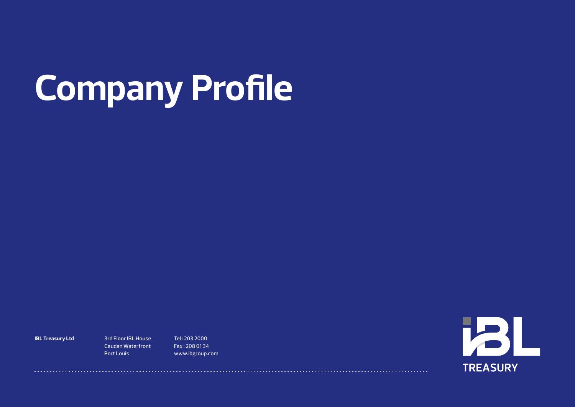# **Company Profile**

**IBL Treasury Ltd** 3rd Floor IBL House

Caudan Waterfront Port Louis

Tel : 203 2000 Fax : 208 01 34 www.ibgroup.com

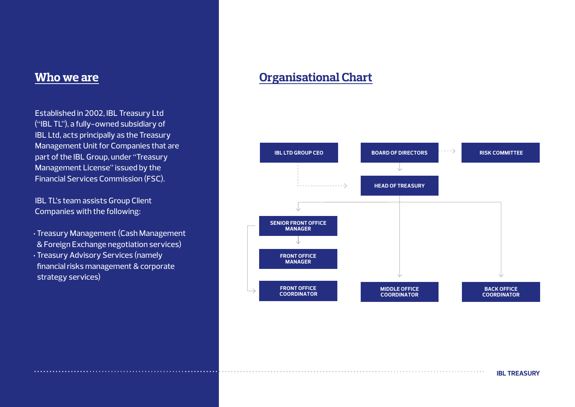Established in 2002, IBL Treasury Ltd ("IBL TL"), a fully-owned subsidiary of IBL Ltd, acts principally as the Treasury Management Unit for Companies that are part of the IBL Group, under "Treasury Management License" issued by the Financial Services Commission (FSC).

IBL TL's team assists Group Client Companies with the following:

- Treasury Management (Cash Management & Foreign Exchange negotiation services)
- Treasury Advisory Services (namely financial risks management & corporate strategy services)

## *Who we are* **<b>Organisational Chart**



**IBL TREASURY**